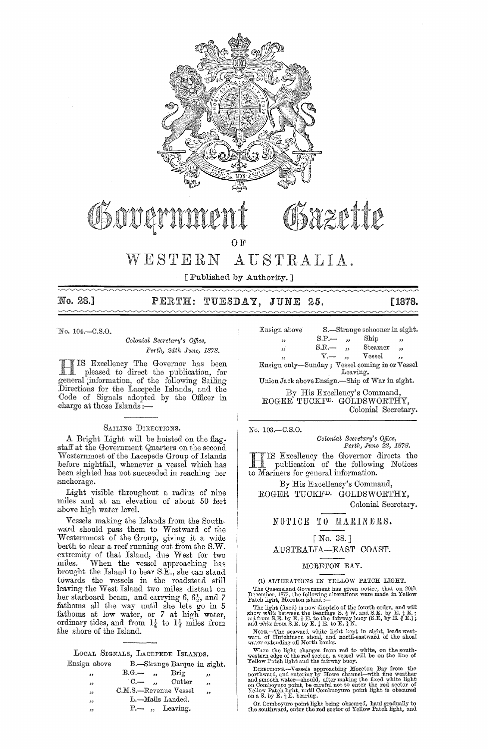

# Sazette OF

vVESTERN AUSTRALIA.

[Published by Authority. ]

mmm

### No. 28.] PERTH: TUESDAY, JUNE 25. [1878.

 $No. 104 - C.S.O.$ 

*Colonial Secretary's Office, Pedh, 24th June, 1878.* 

IS Excellency The Governor has been pleased to direct the publication, for general information, of the following Sailing :Directions for the Lacepede Islands, and the Code of Signals adopted by the Officer in charge at those Islands:-

#### SAILING DIRECTIONS.

A Bright Light will be hoisted on the flag. staff at the Government Quarters on the second Westernmost of the Lacepede Group of Islands before nightfall, whenever a vessel which has been sighted has not succeeded in reaching her anchorage.

Light visible throughout a radius of nine miles and at an elevation of about 50 feet above high water level.

Vessels making the Islands from the South. ward should pass them to Westward of the Westernmost of the Group, giving it a wide berth to clear a reef running out from the S.W. ,extremity of that Island, due West for two miles. When the vessel approaching has brought the Island to bear S.E., she can stand towards the vessels in the roadstead still leaving the West Island two miles distant on her starboard beam, and carrying 6,  $6\frac{1}{2}$ , and 7 fathoms all the way until she lets go in 5 fathoms at low water, or 7 at high water, ordinary tides, and from  $1\frac{1}{4}$  to  $1\frac{1}{2}$  miles from the shore of the Island.

| Ensign above |            | B.-Strange Barque in sight. |    |
|--------------|------------|-----------------------------|----|
| "            | $B.G. -$ , | Brig                        | دد |
| ,,           |            | $C -$ , Cutter              | دد |
| $^{\circ}$   |            | C.M.S.-Revenue Vessel       | ,, |
| دد           |            | L.-Mails Landed.            |    |
| وو           |            | $P -$ , Leaving.            |    |

| Ensign above                                   | S.-Strange schooner in sight. |                      |         |                          |  |
|------------------------------------------------|-------------------------------|----------------------|---------|--------------------------|--|
| 55                                             | $S.P. -$                      | ٠.                   | Ship    | $\overline{\phantom{a}}$ |  |
| $, \,$                                         | S.R.                          | $\ddot{\phantom{a}}$ | Steamer | وو                       |  |
| 5.9                                            | $V -$                         |                      | Vessel  | $\ddot{\phantom{1}}$     |  |
| Ensign only-Sunday; Vessel coming in or Vessel |                               |                      |         |                          |  |

Leaving.

Union Jack above Ensign.-Ship of War in sight.

By His Excellency's Command, ROGER TUCKFD. GOLDSWORTHY, Colonial Secretary.

No. 103.-C.S.0.

*Colonial Seentary's Office, Perth, June* 22, 1878.

HIS Excellency the Governor directs the publication of the following Notices to Mariners for general information.

By His Excellency's Command, ROGER TUCKFD. GOLDSWORTHY, Colonial Secretary.

#### NOTICE TO MARINERS.

#### [No. 38.]

AUSTRALIA-EAST COAST.

#### MORETON BAY.

(1) ALTERATIONS IN YELLOW PATCH LIGHT.

The Queensland Government has given notice, that on 20th December, 1877, the following alterations were made in Yellow Patch light, Moreton island :--

The light (fixed) is now dioptric of the fourth order, and will show white between the bearings S.  $\frac{1}{2}$  W. and S.E. by E.  $\frac{1}{2}$  E.; red from S.E. by E.  $\frac{1}{4}$  E. by E.  $\frac{1}{4}$  E.); and  $\frac{1}{2}$  E.); and whi

NOTE.-The seaward white light kept in sight, leads west· ward of Hutchinson shoal, and north·eastward of the shoal water extending off North banks.

When the light changes from red to white, on the south-<br>western edge of the red sector, a vessel will be on the line of<br>Yellow Patch light and the fairway buoy.

DIRECTIONS.—Vessels approaching Moreton Bay from the northward, and entering by Howe channel—with fine weather and smooth water—should, after making the fixed white light on Comboyuro point, be careful not to enter the red Yellow Patch light, until Combuoyuro point light is obscured on a S. by E.  $_2$  E. bearing.

On Comboyuro point light being obscured, haul gradually to the southward, enter the red sector of Yellow Patch light, and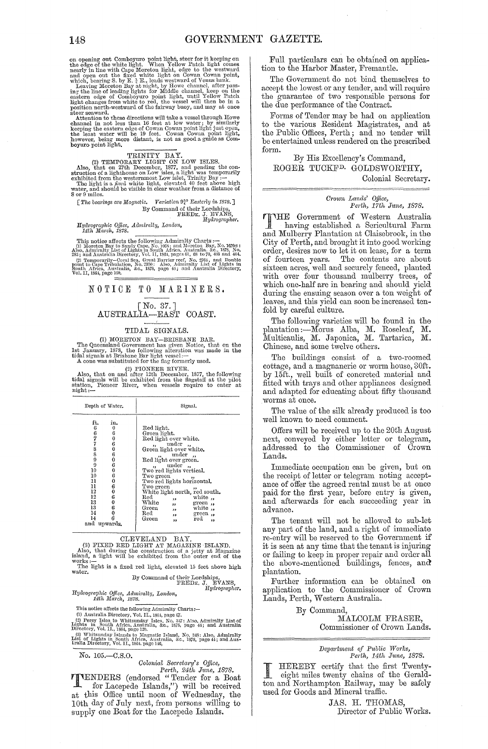on opening out Comboyuro point light, steer for it keeping on the edge of the white light. When Yellow Patch light comes<br>nearly in line with Cape Moreton light, edge to the westward nearly in line with Cape Moreton light,

which, bearing S. by E.  $\frac{1}{4}$  E., leads westward of Venus bank. Leaving Moreton Bay at night, by Howe channel, after passing the line of leading lights for Middle channel, keep on the eastern edge of Comboyuro point light, until Yellow Patch light changes from white to red, the vessel will then be in a position north-westward of the fairway

keeping the eastern edge of Cowan Cowan point light just open, the least water will be 19 feet. Cowan Cowan point light, however, being more distant, is not as good a guide as Comboyuro point light,

TRINITY BAY.<br>
(2) TEMPORARY LIGHT ON LOW ISLES.<br>
Also, that on 27th December, 1877, and pending the construction of a lighthouse on Low isles, a light was temporarily<br>
schibited from the westernmost Low isles, a light was

water, and shonld be visible in clear weather from a distance of 8 or 9 miles.

[ *Tho boarings are* J\[agllatic. *Variation* 9~o *Easterly* in 1878. J By Command of their Lordships,<br>FRED<sub>K</sub>, J. EVANS,<br>*Hydrographer*.

*Hydl'ographio Office,* Ailmimlty, London, *14th March, 1878.* 

This notice affects the following Admiralty Charts :—<br>
(1) Moreton Bay to Sandy Cape, No. 1068; and Moreton Bay, No. 1670 $a$ .<br>
Also, Admiralty List of Lights in South Africa, Australia. &c., 1575. No.<br>  $283$ ; and Australi  $_{\text{Vol},\Pi,1}^{\text{SOL},\Pi,2}^{\text{NLO},\text{R}}$   $_{\text{OIC}}^{\text{NLO},\text{H}}^{\text{NLO},\text{FIR}}$   $_{\text{O}}^{\text{O}}$   $_{\text{O}}^{\text{O}}$   $_{\text{O}}^{\text{O}}$   $_{\text{O}}^{\text{O}}$   $_{\text{O}}^{\text{O}}$   $_{\text{O}}^{\text{O}}$   $_{\text{O}}^{\text{O}}$   $_{\text{O}}^{\text{O}}$   $_{\text{O}}^{\text{O}}$   $_{\text{O}}^{\text{O}}$ 

[No. 37. ] AUSTRALIA-EAST COAST.

#### TIDAL SIGNALS.

(1) MORETON BAY—BRISBANE BAR.<br>
The Queensland Government has given Notice, that on the 1st January, 1878, the following alteration was made in the tidal signals at Erisbane Bar light vessel:— A cone was substituted for th

(2) PIONEEH RIVER. Also, that on mul after 12th December, 1877, the following tidal signals will be exhibited from the flagstaff at the pilot station, Pioneer River, when vessels require to enter at night:-

| Depth of Water.                                                                                                                                                                                                                | Signal.                                                                                                                                                                                                                                                                                                                                                                                                                                                                      |  |  |  |  |
|--------------------------------------------------------------------------------------------------------------------------------------------------------------------------------------------------------------------------------|------------------------------------------------------------------------------------------------------------------------------------------------------------------------------------------------------------------------------------------------------------------------------------------------------------------------------------------------------------------------------------------------------------------------------------------------------------------------------|--|--|--|--|
| ft.<br>in.<br>6<br>0<br>6778899<br>6<br>0<br>6<br>0<br>6<br>0<br>6<br>0<br>10<br>6<br>10<br>$\begin{smallmatrix}0&6\0&0\0&0\end{smallmatrix}$<br>11<br>11<br>12<br>12<br>0<br>13<br>13<br>6 0<br>6<br>14<br>14<br>and upwards. | Red light.<br>Green light.<br>Red light over white.<br>under,<br>$\cdot$<br>Green light over white.<br>under,<br>$^{\prime}$<br>Red light over green.<br>under,<br>, 1<br>Two red lights vertical.<br>Two green<br>Two red lights horizontal.<br>Two green<br>White light north, red south.<br>Red<br>white,<br>,,<br>White<br>green,<br>$\bullet$<br>white ,,<br>Green<br>$\overline{\phantom{a}}$<br>Red<br>green,<br>$\overline{\phantom{a}}$<br>Green<br>red<br>33<br>,, |  |  |  |  |

CLEVELAND BAY.<br>(3) FIXED RED LIGHT AT MAGAZINE ISLAND.<br>Also, that during the construction of a jetty at Magazine. island, a light will be exhibited from the outer end of the works: $-$ The light is a fixed red light, elevated 15 feet above high water.<br>By Command of their Lordships, J. EVANS, FREDK. J. EVANS, FREDK. J. EV ANS, FREDK. *Hydrographer*.

*Hyill'ographio Offioe, Admil'alty, London, 14th Mm'oh, 1878.* 

Hydrographic Office, Admiralty, London,<br>
14th March, 1878.<br>
This notice affects the following Admiralty Charts:—<br>
(1) Australia Directory, Vol. II., 1864, page 67.<br>
(2) Percy Isles to Whitsunday Isles, No. 347: Also, Admir

List of Lights in South Africa, Australia, &c., 1878, page 44; and Aus–<br>tralia Directory, Vol. II., 1864, page 146,

*No.* l05.-C.S.O.

*Colonial Secretary's Office,*<br> *Perth, 24th June, 1878.*<br> **PENDERS** (endorsed "Tender for a Boat<br>
for Lacepede Islands,") will be received at this Office until noon of Wednesday, the 10th day of July next, from persons willing to supply one Boat for the Lacepede Islands.

Full particulars can be obtained on application to the Harbor Master, Fremantle.

The Government do not bind themselves to accept the lowest or any tender, and will require the guarantee of two responsible persons for the due performance of the Contract.

Forms of Tender may be had on application to the various Resident Magistrates, and at the Public Offices, Perth; and no tender will be entertained unless rendered on the prescribed form.

By His Excellency's Command, ROGER TUCKF<sup>D</sup> GOLDSWORTHY, Colonial Secretary.

## *Crown Lands' Office,*<br>Perth, 17th June, 1878.

THE Government of Western Australia .1 having established a Sericultural Farm and Mulberry Plantation at Claisebrook, in the City of Perth, and brought it into good working order, desires now to let it on lease, for a term of fourteen years. The contents are about sixteen acres, well and securely fenced, planted with over four thousand mulberry trees, of which one-half are in bearing and should yield during the ensuing season over a ton weight of leaves, and this yield can soon be increased tenfold by careful culture.

The following varieties will be found in the plantation :- Morus Alba, M. Roseleaf, M. Multicaulis, M. Japonica, M. Tartarica, M. Chinese, and some twelve others.

The buildings consist of a two-roomed cottage, and a magnanerie or worm house, 30ft. by 15ft., well built of concreted material and fitted with trays and other appliances designed and adapted for educating about fifty thousand worms at once.

The value of the silk already produced is too well known to need comment.

Offers will be received up to the 20th August next, conveyed by either letter or telegram, addressed to the Commissioner of Crown Lands.

Immediate occupation can be given, but on the receipt of letter or telegram noting acceptance of offer the agreed rental must be at once paid for the first year, before entry is given, and afterwards for each succeeding year in advance.

The tenant will not be allowed to sub-let any part of the land, and a right of immediate re-entry will be reserved to the Government if<br>it is seen at any time that the tenant is injuring it is seen at any time that the tenant is injuring or failing to keep in proper repair and order all the above-mentioned buildings, fences, and plantation.

Further information can be obtained on application to the Commissioner of Crown Lands, Perth, Western Australia.

> By Command, MALCOLM FRASER, Commissioner of Crown Lands.

> > *Depaj-t?nent of Public W01-ks, Perth, 14th June, 1878.*

I HEREBY certify that the first Twenty-eight miles twenty chains of the Gemldton and Northampton Railway, may be safely used for Goods and Mineral traffic.

> JAS. H. THOMAS, Director of Public Works.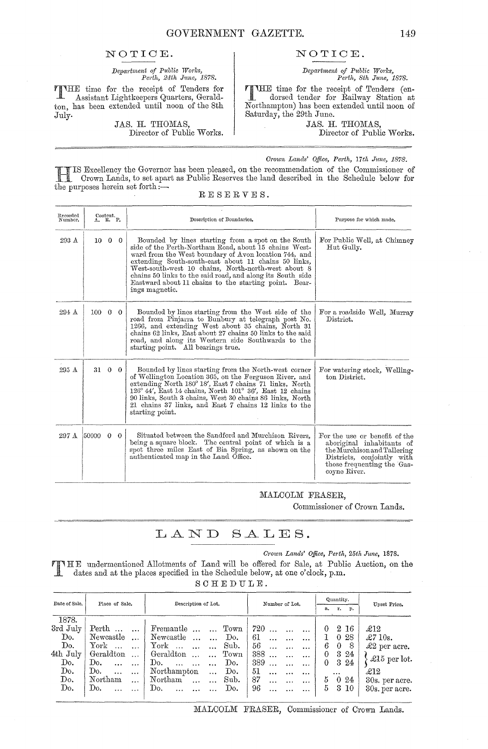### NOTICE.

Department of Public Works,<br>Perth, 24th June, 1878.

THE time for the receipt of Tenders for Assistant Lightkeepers Quarters, Geraldton, has been extended until noon of the 8th July.

T

JAS. H. THOMAS, Director of Public Works.

### NOTICE.

Department of Public Works,<br>Perth, Sth June, 1878.

**TTHE** time for the receipt of Tenders (endorsed tender for Railway Station at Northampton) has been extended until noon of Saturday, the 29th June.

JAS. H. THOMAS, Director of Public Works.

#### Crown Lands' Office, Perth, 17th June, 1878.

IS Excellency the Governor has been pleased, on the recommendation of the Commissioner of Crown Lands, to set apart as Public Reserves the land described in the Schedule below for the purposes herein set forth : $-$ 

| Recorded<br>Number. |                         | Content.<br>$\Lambda$ , R. P. | Description of Boundaries.                                                                                                                                                                                                                                                                                                                                                                                                   | Purpose for which made.                                                                                                                                               |  |  |
|---------------------|-------------------------|-------------------------------|------------------------------------------------------------------------------------------------------------------------------------------------------------------------------------------------------------------------------------------------------------------------------------------------------------------------------------------------------------------------------------------------------------------------------|-----------------------------------------------------------------------------------------------------------------------------------------------------------------------|--|--|
| 293 A               |                         | $10 \quad 0 \quad 0$          | Bounded by lines starting from a spot on the South<br>side of the Perth-Northam Road, about 15 chains West-<br>ward from the West boundary of Avon location 744, and<br>extending South-south-east about 11 chains 50 links,<br>West-south-west 10 chains, North-north-west about 8<br>chains 50 links to the said road, and along its South side<br>Eastward about 11 chains to the starting point. Bear-<br>ings magnetic. | For Public Well, at Chimney<br>Hut Gully.                                                                                                                             |  |  |
| $294 \text{ A}$     | $100 \t 0 \t 0$         |                               | Bounded by lines starting from the West side of the<br>road from Pinjarra to Bunbury at telegraph post No.<br>1266, and extending West about 35 chains, North 31<br>chains 62 links, East about 27 chains 50 links to the said<br>road, and along its Western side Southwards to the<br>starting point. All bearings true.                                                                                                   | For a roadside Well, Murray<br>District.                                                                                                                              |  |  |
| 295 A               | $31\quad0\quad0$        |                               | Bounded by lines starting from the North-west corner<br>of Wellington Location 365, on the Ferguson River, and<br>extending North 180° 18′, East 7 chains 71 links, North<br>$126^{\circ}$ 44', East 14 chains, North $101^{\circ}$ 36', East 12 chains<br>90 links, South 3 chains, West 30 chains 86 links, North<br>21 chains 37 links, and East 7 chains 12 links to the<br>starting point.                              | For watering stock, Welling-<br>ton District.                                                                                                                         |  |  |
| 297 A               | $50000 \quad 0 \quad 0$ |                               | Situated between the Sandford and Murchison Rivers.<br>being a square block. The central point of which is a<br>spot three miles East of Bia Spring, as shown on the<br>authenticated map in the Land Office.                                                                                                                                                                                                                | For the use or benefit of the<br>aboriginal inhabitants of<br>the Murchison and Tallering<br>Districts, conjointly with<br>those frequenting the Gas-<br>coyne River. |  |  |

### MALCOLM FRASER.

Commissioner of Crown Lands.

#### LAND  $SALES.$

Crown Lands' Office, Perth, 25th June, 1878. NHE undermentioned Allotments of Land will be offered for Sale, at Public Auction, on the dates and at the places specified in the Schedule below, at one o'clock, p.m. S

| CHEDULE. |
|----------|
|----------|

| Date of Sale. | Place of Sale.              | Description of Lot.        |                                              | Number of Lot.  |          | Quantity.      | Upset Price.         |
|---------------|-----------------------------|----------------------------|----------------------------------------------|-----------------|----------|----------------|----------------------|
|               |                             |                            |                                              |                 | а.       | r.<br>р.       |                      |
| 1878.         |                             |                            |                                              |                 |          |                |                      |
| 3rd July      | Perth<br>$\cdots$           |                            | Fremantle   Town                             | 720             | 0        | 2 16           | $\pounds12$          |
| Do.           | Newcastle                   | Newcastle                  | Do.<br>$\cdots$                              | 61<br>$\ddotsc$ | 1        | 028            | $\pounds$ 710s.      |
| Do.           | $\operatorname{York}$       | York $\dots$ $\dots$       | Sub.                                         | 56<br>$\cdots$  | 6        | -8<br>$\theta$ | $\pounds2$ per acre. |
| 4th July      | Geraldton<br>$\cdots$       | Geraldton                  | $_{\mathrm{Town}}$<br>$\dddotsc$<br>$\cdots$ | 388<br>         | $\theta$ | $3\,24$        |                      |
| Do.           | Do.                         | Do.<br>$\ddotsc$<br>$\sim$ | Do.                                          | 389<br>         | $\theta$ | $3\,24$        | £15 per lot.         |
| Do.           | Do.<br>$\cdots$<br>$\cdots$ | Northampton                | Do.<br>$\ddotsc$                             | 51<br>$\cdots$  |          | $\cdots$       | $\pounds12$          |
| Do.           | Northam<br>$\cdots$         | Northam                    | Sub.                                         | 87<br>$\cdots$  | 5        | 024            | 30s. per acre.       |
| Do.           | Do.                         | Do.<br>$\ddotsc$           | Do.                                          | 96<br>$\cdots$  | 5        | 3 10           | 30s. per acre.       |

RESERVES.

MALCOLM FRASER, Commissioner of Crown Lands.